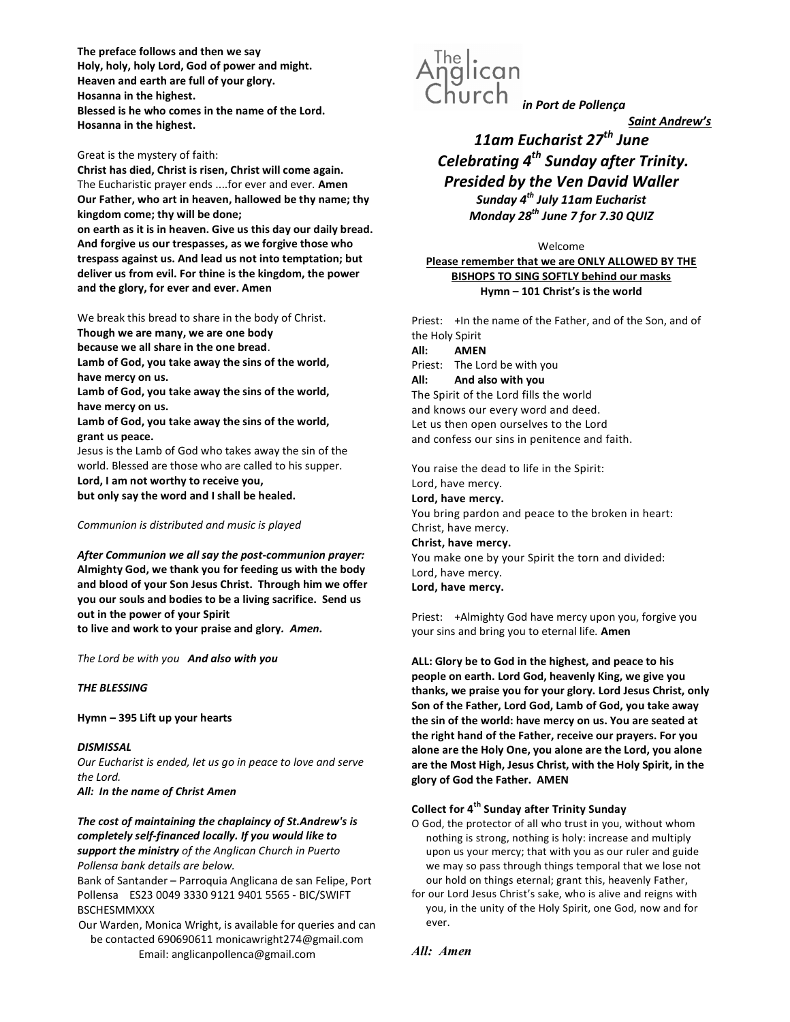The preface follows and then we say Holy, holy, holy Lord, God of power and might. Heaven and earth are full of your glory. Hosanna in the highest. Blessed is he who comes in the name of the Lord. Hosanna in the highest.

Great is the mystery of faith:

Christ has died, Christ is risen, Christ will come again. The Eucharistic prayer ends ....for ever and ever. Amen Our Father, who art in heaven, hallowed be thy name; thy kingdom come; thy will be done;

on earth as it is in heaven. Give us this day our daily bread. And forgive us our trespasses, as we forgive those who trespass against us. And lead us not into temptation; but deliver us from evil. For thine is the kingdom, the power and the glory, for ever and ever. Amen

We break this bread to share in the body of Christ.

Though we are many, we are one body

because we all share in the one bread.

Lamb of God, you take away the sins of the world, have mercy on us.

Lamb of God, you take away the sins of the world, have mercy on us.

Lamb of God, you take away the sins of the world, grant us peace.

Jesus is the Lamb of God who takes away the sin of the world. Blessed are those who are called to his supper. Lord, I am not worthy to receive you,

but only say the word and I shall be healed.

Communion is distributed and music is played

After Communion we all say the post-communion prayer: Almighty God, we thank you for feeding us with the body and blood of your Son Jesus Christ. Through him we offer you our souls and bodies to be a living sacrifice. Send us out in the power of your Spirit

to live and work to your praise and glory. Amen.

The Lord be with you And also with you

# THE BLESSING

Hymn – 395 Lift up your hearts

# **DISMISSAL**

Our Eucharist is ended, let us go in peace to love and serve the Lord. All: In the name of Christ Amen

The cost of maintaining the chaplaincy of St.Andrew's is completely self-financed locally. If you would like to support the ministry of the Anglican Church in Puerto Pollensa bank details are below.

Bank of Santander – Parroquia Anglicana de san Felipe, Port Pollensa ES23 0049 3330 9121 9401 5565 - BIC/SWIFT BSCHESMMXXX

Our Warden, Monica Wright, is available for queries and can be contacted 690690611 monicawright274@gmail.com Email: anglicanpollenca@gmail.com



Saint Andrew's

# 11am Eucharist  $27^{th}$  June Celebrating  $4^{th}$  Sunday after Trinity. Presided by the Ven David Waller Sunday  $4^{th}$  July 11am Eucharist

Monday  $28^{th}$  June 7 for 7.30 QUIZ

Welcome Please remember that we are ONLY ALLOWED BY THE BISHOPS TO SING SOFTLY behind our masks Hymn – 101 Christ's is the world

Priest: +In the name of the Father, and of the Son, and of the Holy Spirit All: AMEN Priest: The Lord be with you All: And also with you The Spirit of the Lord fills the world and knows our every word and deed. Let us then open ourselves to the Lord and confess our sins in penitence and faith. You raise the dead to life in the Spirit:

Lord, have mercy. Lord, have mercy. You bring pardon and peace to the broken in heart: Christ, have mercy. Christ, have mercy. You make one by your Spirit the torn and divided: Lord, have mercy.

Lord, have mercy.

Priest: +Almighty God have mercy upon you, forgive you your sins and bring you to eternal life. Amen

ALL: Glory be to God in the highest, and peace to his people on earth. Lord God, heavenly King, we give you thanks, we praise you for your glory. Lord Jesus Christ, only Son of the Father, Lord God, Lamb of God, you take away the sin of the world: have mercy on us. You are seated at the right hand of the Father, receive our prayers. For you alone are the Holy One, you alone are the Lord, you alone are the Most High, Jesus Christ, with the Holy Spirit, in the glory of God the Father. AMEN

# Collect for 4<sup>th</sup> Sunday after Trinity Sunday

- O God, the protector of all who trust in you, without whom nothing is strong, nothing is holy: increase and multiply upon us your mercy; that with you as our ruler and guide we may so pass through things temporal that we lose not our hold on things eternal; grant this, heavenly Father,
- for our Lord Jesus Christ's sake, who is alive and reigns with you, in the unity of the Holy Spirit, one God, now and for ever.

All: Amen